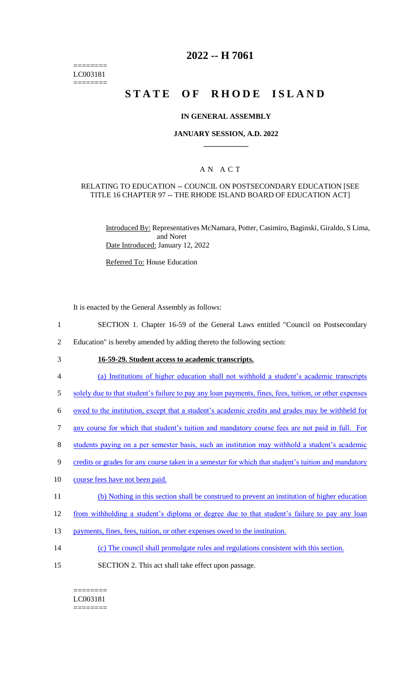======== LC003181 ========

# **2022 -- H 7061**

# **STATE OF RHODE ISLAND**

### **IN GENERAL ASSEMBLY**

### **JANUARY SESSION, A.D. 2022 \_\_\_\_\_\_\_\_\_\_\_\_**

### A N A C T

### RELATING TO EDUCATION -- COUNCIL ON POSTSECONDARY EDUCATION [SEE TITLE 16 CHAPTER 97 -- THE RHODE ISLAND BOARD OF EDUCATION ACT]

Introduced By: Representatives McNamara, Potter, Casimiro, Baginski, Giraldo, S Lima, and Noret Date Introduced: January 12, 2022

Referred To: House Education

It is enacted by the General Assembly as follows:

- 1 SECTION 1. Chapter 16-59 of the General Laws entitled "Council on Postsecondary
- 2 Education" is hereby amended by adding thereto the following section:
- 

# 3 **16-59-29. Student access to academic transcripts.**

- 4 (a) Institutions of higher education shall not withhold a student's academic transcripts
- 5 solely due to that student's failure to pay any loan payments, fines, fees, tuition, or other expenses
- 6 owed to the institution, except that a student's academic credits and grades may be withheld for
- 7 any course for which that student's tuition and mandatory course fees are not paid in full. For
- 8 students paying on a per semester basis, such an institution may withhold a student's academic
- 9 credits or grades for any course taken in a semester for which that student's tuition and mandatory
- 10 course fees have not been paid.
- 11 (b) Nothing in this section shall be construed to prevent an institution of higher education
- 12 from withholding a student's diploma or degree due to that student's failure to pay any loan
- 13 payments, fines, fees, tuition, or other expenses owed to the institution.
- 14 (c) The council shall promulgate rules and regulations consistent with this section.
- 15 SECTION 2. This act shall take effect upon passage.

#### ======== LC003181 ========